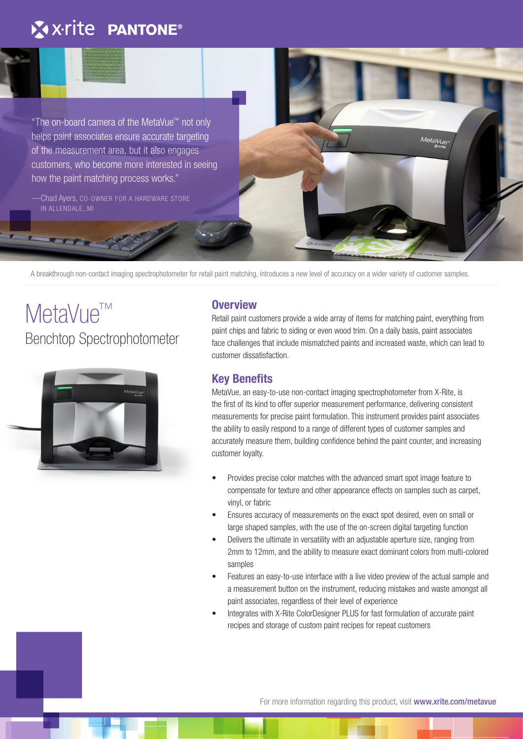## X x-rite PANTONE®

"The on-board camera of the MetaVue™ not only helps paint associates ensure accurate targeting of the measurement area, but it also engages customers, who become more interested in seeing how the paint matching process works."

—Chad Ayers, CO-OWNER FOR A HARDWARE STORE IN ALLENDALE, MI

Benchtop Spectrophotometer

MetaVue<sup>™</sup>

**Overview**

A breakthrough non-contact imaging spectrophotometer for retail paint matching, introduces a new level of accuracy on a wider variety of customer samples.

Retail paint customers provide a wide array of items for matching paint, everything from paint chips and fabric to siding or even wood trim. On a daily basis, paint associates face challenges that include mismatched paints and increased waste, which can lead to customer dissatisfaction.

Meta<sub>Vue</sub>

### **Key Benefits**

MetaVue, an easy-to-use non-contact imaging spectrophotometer from X-Rite, is the first of its kind to offer superior measurement performance, delivering consistent measurements for precise paint formulation. This instrument provides paint associates the ability to easily respond to a range of different types of customer samples and accurately measure them, building confidence behind the paint counter, and increasing customer loyalty.

- Provides precise color matches with the advanced smart spot image feature to compensate for texture and other appearance effects on samples such as carpet, vinyl, or fabric
- Ensures accuracy of measurements on the exact spot desired, even on small or large shaped samples, with the use of the on-screen digital targeting function
- Delivers the ultimate in versatility with an adjustable aperture size, ranging from 2mm to 12mm, and the ability to measure exact dominant colors from multi-colored samples
- Features an easy-to-use interface with a live video preview of the actual sample and a measurement button on the instrument, reducing mistakes and waste amongst all paint associates, regardless of their level of experience
- Integrates with X-Rite ColorDesigner PLUS for fast formulation of accurate paint recipes and storage of custom paint recipes for repeat customers

For more information regarding this product, visit www.xrite.com/metavue